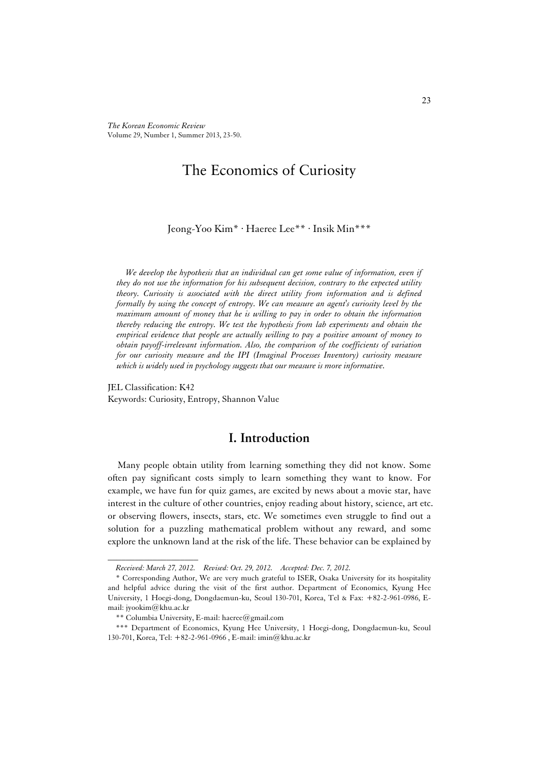*The Korean Economic Review*  Volume 29, Number 1, Summer 2013, 23-50.

# The Economics of Curiosity

Jeong-Yoo Kim\* · Haeree Lee\*\* · Insik Min\*\*\*

*We develop the hypothesis that an individual can get some value of information, even if they do not use the information for his subsequent decision, contrary to the expected utility theory. Curiosity is associated with the direct utility from information and is defined formally by using the concept of entropy. We can measure an agent's curiosity level by the maximum amount of money that he is willing to pay in order to obtain the information thereby reducing the entropy. We test the hypothesis from lab experiments and obtain the empirical evidence that people are actually willing to pay a positive amount of money to obtain payoff-irrelevant information. Also, the comparison of the coefficients of variation for our curiosity measure and the IPI (Imaginal Processes Inventory) curiosity measure which is widely used in psychology suggests that our measure is more informative.* 

JEL Classification: K42 Keywords: Curiosity, Entropy, Shannon Value

# **I. Introduction**

Many people obtain utility from learning something they did not know. Some often pay significant costs simply to learn something they want to know. For example, we have fun for quiz games, are excited by news about a movie star, have interest in the culture of other countries, enjoy reading about history, science, art etc. or observing flowers, insects, stars, etc. We sometimes even struggle to find out a solution for a puzzling mathematical problem without any reward, and some explore the unknown land at the risk of the life. These behavior can be explained by

*Received: March 27, 2012. Revised: Oct. 29, 2012. Accepted: Dec. 7, 2012.*

<sup>\*</sup> Corresponding Author, We are very much grateful to ISER, Osaka University for its hospitality and helpful advice during the visit of the first author. Department of Economics, Kyung Hee University, 1 Hoegi-dong, Dongdaemun-ku, Seoul 130-701, Korea, Tel & Fax: +82-2-961-0986, Email: jyookim@khu.ac.kr

<sup>\*\*</sup> Columbia University, E-mail: haeree@gmail.com

<sup>\*\*\*</sup> Department of Economics, Kyung Hee University, 1 Hoegi-dong, Dongdaemun-ku, Seoul 130-701, Korea, Tel: +82-2-961-0966 , E-mail: imin@khu.ac.kr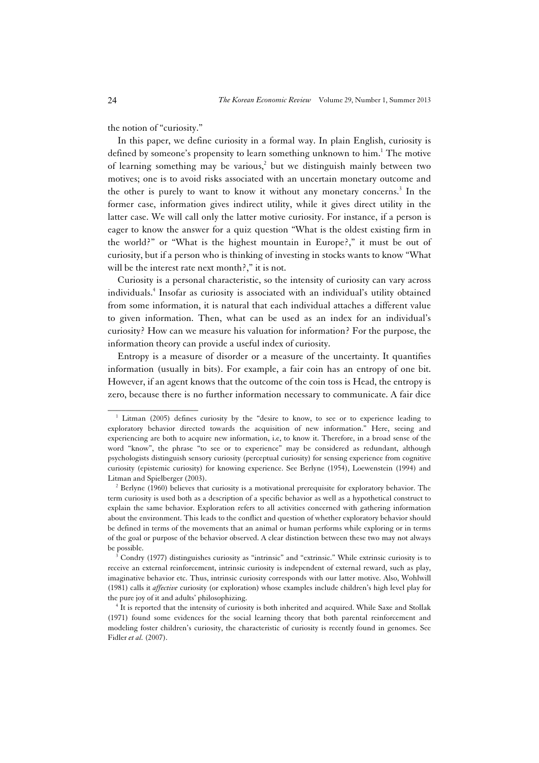the notion of "curiosity."

\_\_\_\_\_\_\_\_\_\_\_\_\_\_\_\_\_\_\_\_

In this paper, we define curiosity in a formal way. In plain English, curiosity is defined by someone's propensity to learn something unknown to him.<sup>1</sup> The motive of learning something may be various,<sup>2</sup> but we distinguish mainly between two motives; one is to avoid risks associated with an uncertain monetary outcome and the other is purely to want to know it without any monetary concerns.<sup>3</sup> In the former case, information gives indirect utility, while it gives direct utility in the latter case. We will call only the latter motive curiosity. For instance, if a person is eager to know the answer for a quiz question "What is the oldest existing firm in the world?" or "What is the highest mountain in Europe?," it must be out of curiosity, but if a person who is thinking of investing in stocks wants to know "What will be the interest rate next month?," it is not.

Curiosity is a personal characteristic, so the intensity of curiosity can vary across individuals.4 Insofar as curiosity is associated with an individual's utility obtained from some information, it is natural that each individual attaches a different value to given information. Then, what can be used as an index for an individual's curiosity? How can we measure his valuation for information? For the purpose, the information theory can provide a useful index of curiosity.

Entropy is a measure of disorder or a measure of the uncertainty. It quantifies information (usually in bits). For example, a fair coin has an entropy of one bit. However, if an agent knows that the outcome of the coin toss is Head, the entropy is zero, because there is no further information necessary to communicate. A fair dice

<sup>&</sup>lt;sup>1</sup> Litman (2005) defines curiosity by the "desire to know, to see or to experience leading to exploratory behavior directed towards the acquisition of new information." Here, seeing and experiencing are both to acquire new information, i.e, to know it. Therefore, in a broad sense of the word "know", the phrase "to see or to experience" may be considered as redundant, although psychologists distinguish sensory curiosity (perceptual curiosity) for sensing experience from cognitive curiosity (epistemic curiosity) for knowing experience. See Berlyne (1954), Loewenstein (1994) and Litman and Spielberger (2003).

 $3$  Berlyne (1960) believes that curiosity is a motivational prerequisite for exploratory behavior. The term curiosity is used both as a description of a specific behavior as well as a hypothetical construct to explain the same behavior. Exploration refers to all activities concerned with gathering information about the environment. This leads to the conflict and question of whether exploratory behavior should be defined in terms of the movements that an animal or human performs while exploring or in terms of the goal or purpose of the behavior observed. A clear distinction between these two may not always be possible.

Condry (1977) distinguishes curiosity as "intrinsic" and "extrinsic." While extrinsic curiosity is to receive an external reinforcement, intrinsic curiosity is independent of external reward, such as play, imaginative behavior etc. Thus, intrinsic curiosity corresponds with our latter motive. Also, Wohlwill (1981) calls it *affective* curiosity (or exploration) whose examples include children's high level play for the pure joy of it and adults' philosophizing. 4

 $<sup>4</sup>$  It is reported that the intensity of curiosity is both inherited and acquired. While Saxe and Stollak</sup> (1971) found some evidences for the social learning theory that both parental reinforcement and modeling foster children's curiosity, the characteristic of curiosity is recently found in genomes. See Fidler *et al.* (2007).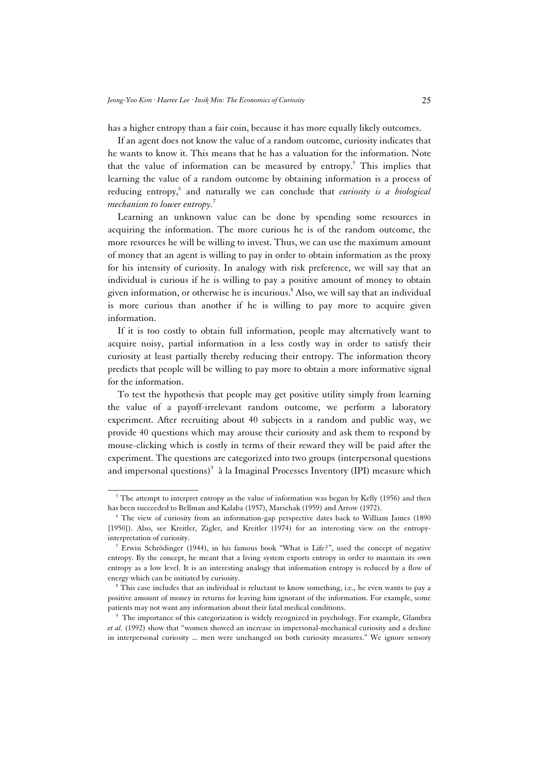has a higher entropy than a fair coin, because it has more equally likely outcomes.

If an agent does not know the value of a random outcome, curiosity indicates that he wants to know it. This means that he has a valuation for the information. Note that the value of information can be measured by entropy.<sup>5</sup> This implies that learning the value of a random outcome by obtaining information is a process of reducing entropy,<sup>6</sup> and naturally we can conclude that *curiosity is a biological mechanism to lower entropy.*<sup>7</sup>

Learning an unknown value can be done by spending some resources in acquiring the information. The more curious he is of the random outcome, the more resources he will be willing to invest. Thus, we can use the maximum amount of money that an agent is willing to pay in order to obtain information as the proxy for his intensity of curiosity. In analogy with risk preference, we will say that an individual is curious if he is willing to pay a positive amount of money to obtain given information, or otherwise he is incurious.<sup>8</sup> Also, we will say that an individual is more curious than another if he is willing to pay more to acquire given information.

If it is too costly to obtain full information, people may alternatively want to acquire noisy, partial information in a less costly way in order to satisfy their curiosity at least partially thereby reducing their entropy. The information theory predicts that people will be willing to pay more to obtain a more informative signal for the information.

To test the hypothesis that people may get positive utility simply from learning the value of a payoff-irrelevant random outcome, we perform a laboratory experiment. After recruiting about 40 subjects in a random and public way, we provide 40 questions which may arouse their curiosity and ask them to respond by mouse-clicking which is costly in terms of their reward they will be paid after the experiment. The questions are categorized into two groups (interpersonal questions and impersonal questions) $^9$  à la Imaginal Processes Inventory (IPI) measure which

 $5$  The attempt to interpret entropy as the value of information was begun by Kelly (1956) and then has been succeeded to Bellman and Kalaba (1957), Marschak (1959) and Arrow (1972).

 $6$  The view of curiosity from an information-gap perspective dates back to William James (1890) [1950]). Also, see Kreitler, Zigler, and Kreitler (1974) for an interesting view on the entropyinterpretation of curiosity. 7

<sup>&</sup>lt;sup>7</sup> Erwin Schrödinger (1944), in his famous book "What is Life?", used the concept of negative entropy. By the concept, he meant that a living system exports entropy in order to maintain its own entropy as a low level. It is an interesting analogy that information entropy is reduced by a flow of energy which can be initiated by curiosity. 8

This case includes that an individual is reluctant to know something, i.e., he even wants to pay a positive amount of money in returns for leaving him ignorant of the information. For example, some patients may not want any information about their fatal medical conditions. 9

<sup>&</sup>lt;sup>9</sup> The importance of this categorization is widely recognized in psychology. For example, Glambra *et al.* (1992) show that "women showed an increase in impersonal-mechanical curiosity and a decline in interpersonal curiosity ... men were unchanged on both curiosity measures." We ignore sensory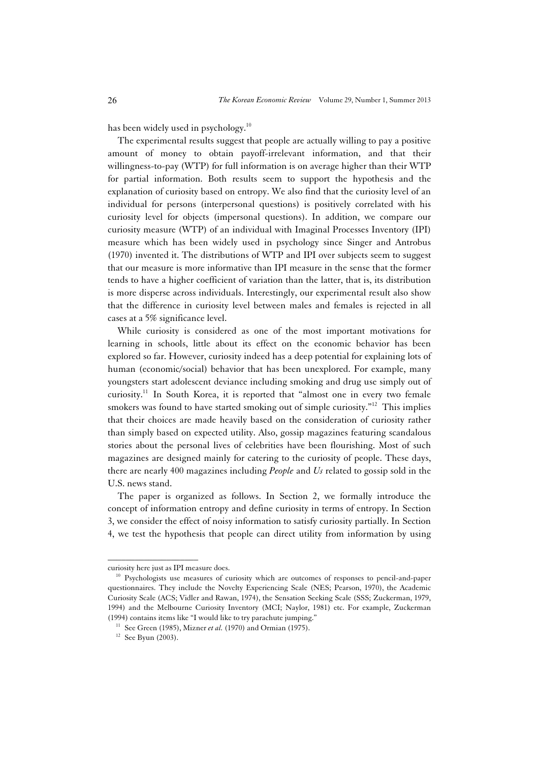has been widely used in psychology.<sup>10</sup>

The experimental results suggest that people are actually willing to pay a positive amount of money to obtain payoff-irrelevant information, and that their willingness-to-pay (WTP) for full information is on average higher than their WTP for partial information. Both results seem to support the hypothesis and the explanation of curiosity based on entropy. We also find that the curiosity level of an individual for persons (interpersonal questions) is positively correlated with his curiosity level for objects (impersonal questions). In addition, we compare our curiosity measure (WTP) of an individual with Imaginal Processes Inventory (IPI) measure which has been widely used in psychology since Singer and Antrobus (1970) invented it. The distributions of WTP and IPI over subjects seem to suggest that our measure is more informative than IPI measure in the sense that the former tends to have a higher coefficient of variation than the latter, that is, its distribution is more disperse across individuals. Interestingly, our experimental result also show that the difference in curiosity level between males and females is rejected in all cases at a 5% significance level.

While curiosity is considered as one of the most important motivations for learning in schools, little about its effect on the economic behavior has been explored so far. However, curiosity indeed has a deep potential for explaining lots of human (economic/social) behavior that has been unexplored. For example, many youngsters start adolescent deviance including smoking and drug use simply out of curiosity.<sup>11</sup> In South Korea, it is reported that "almost one in every two female smokers was found to have started smoking out of simple curiosity."<sup>12</sup> This implies that their choices are made heavily based on the consideration of curiosity rather than simply based on expected utility. Also, gossip magazines featuring scandalous stories about the personal lives of celebrities have been flourishing. Most of such magazines are designed mainly for catering to the curiosity of people. These days, there are nearly 400 magazines including *People* and *Us* related to gossip sold in the U.S. news stand.

The paper is organized as follows. In Section 2, we formally introduce the concept of information entropy and define curiosity in terms of entropy. In Section 3, we consider the effect of noisy information to satisfy curiosity partially. In Section 4, we test the hypothesis that people can direct utility from information by using

curiosity here just as IPI measure does.<br><sup>10</sup> Psychologists use measures of curiosity which are outcomes of responses to pencil-and-paper questionnaires. They include the Novelty Experiencing Scale (NES; Pearson, 1970), the Academic Curiosity Scale (ACS; Vidler and Rawan, 1974), the Sensation Seeking Scale (SSS; Zuckerman, 1979, 1994) and the Melbourne Curiosity Inventory (MCI; Naylor, 1981) etc. For example, Zuckerman (1994) contains items like "I would like to try parachute jumping." 11 See Green (1985), Mizner *et al.* (1970) and Ormian (1975). 12 See Byun (2003).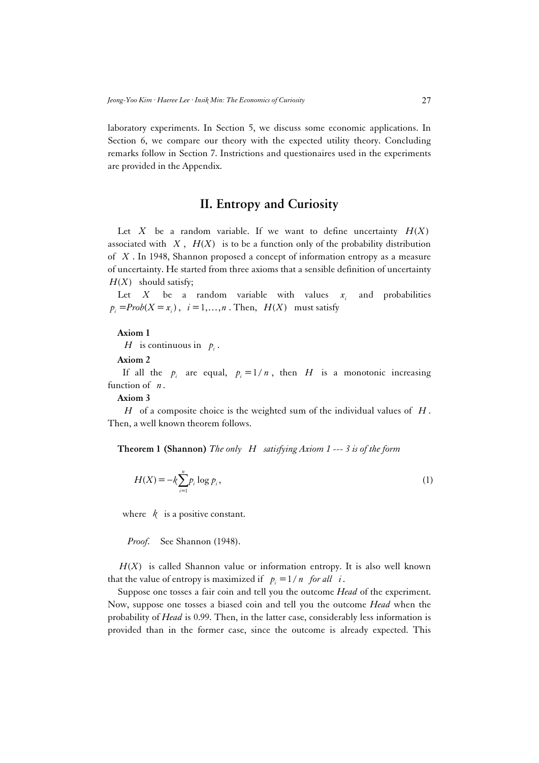laboratory experiments. In Section 5, we discuss some economic applications. In Section 6, we compare our theory with the expected utility theory. Concluding remarks follow in Section 7. Instrictions and questionaires used in the experiments are provided in the Appendix.

# **II. Entropy and Curiosity**

Let *X* be a random variable. If we want to define uncertainty  $H(X)$ associated with  $X$ ,  $H(X)$  is to be a function only of the probability distribution of *X* . In 1948, Shannon proposed a concept of information entropy as a measure of uncertainty. He started from three axioms that a sensible definition of uncertainty  $H(X)$  should satisfy;

Let *X* be a random variable with values  $x_i$  and probabilities  $p_i = Prob(X = x_i)$ ,  $i = 1, ..., n$ . Then,  $H(X)$  must satisfy

#### **Axiom 1**

*H* is continuous in  $p_i$ .

**Axiom 2**

If all the  $p_i$  are equal,  $p_i = 1/n$ , then *H* is a monotonic increasing function of *n*.

**Axiom 3**

*H* of a composite choice is the weighted sum of the individual values of *H* . Then, a well known theorem follows.

**Theorem 1 (Shannon)** *The only H satisfying Axiom 1 --- 3 is of the form* 

$$
H(X) = -k \sum_{i=1}^{n} p_i \log p_i,
$$
 (1)

where  $k$  is a positive constant.

 *Proof.* See Shannon (1948).

 $H(X)$  is called Shannon value or information entropy. It is also well known that the value of entropy is maximized if  $p_i = 1 / n$  for all *i*.

Suppose one tosses a fair coin and tell you the outcome *Head* of the experiment. Now, suppose one tosses a biased coin and tell you the outcome *Head* when the probability of *Head* is 0.99. Then, in the latter case, considerably less information is provided than in the former case, since the outcome is already expected. This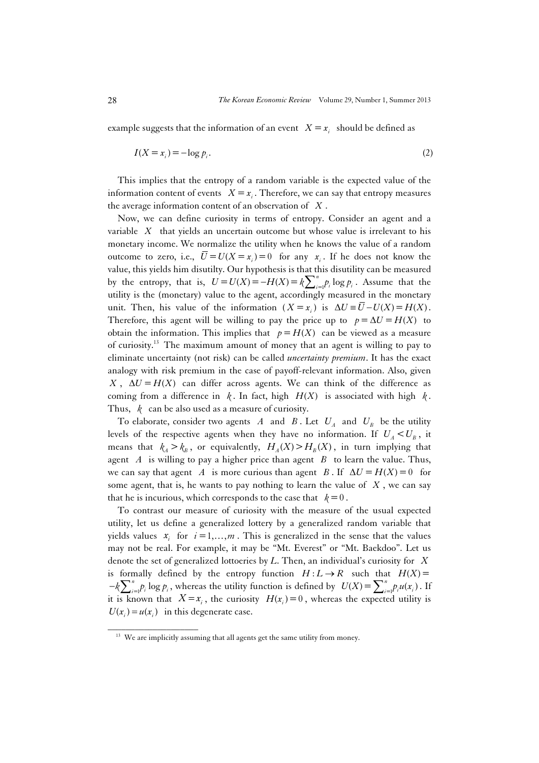example suggests that the information of an event  $X = x_i$  should be defined as

$$
I(X = x_i) = -\log p_i. \tag{2}
$$

This implies that the entropy of a random variable is the expected value of the information content of events  $X = x_i$ . Therefore, we can say that entropy measures the average information content of an observation of *X* .

Now, we can define curiosity in terms of entropy. Consider an agent and a variable *X* that yields an uncertain outcome but whose value is irrelevant to his monetary income. We normalize the utility when he knows the value of a random outcome to zero, i.e.,  $\overline{U} = U(X = x_i) = 0$  for any  $x_i$ . If he does not know the value, this yields him disutilty. Our hypothesis is that this disutility can be measured by the entropy, that is,  $U = U(X) = -H(X) = k \sum_{i=1}^{n} p_i \log p_i$ . Assume that the utility is the (monetary) value to the agent, accordingly measured in the monetary unit. Then, his value of the information  $(X = x_i)$  is  $\Delta U = \overline{U} - U(X) = H(X)$ . Therefore, this agent will be willing to pay the price up to  $p = \Delta U = H(X)$  to obtain the information. This implies that  $p = H(X)$  can be viewed as a measure of curiosity.13 The maximum amount of money that an agent is willing to pay to eliminate uncertainty (not risk) can be called *uncertainty premium*. It has the exact analogy with risk premium in the case of payoff-relevant information. Also, given  $X$ ,  $\Delta U = H(X)$  can differ across agents. We can think of the difference as coming from a difference in  $k$ . In fact, high  $H(X)$  is associated with high  $k$ . Thus, *k* can be also used as a measure of curiosity.

To elaborate, consider two agents *A* and *B*. Let  $U_A$  and  $U_B$  be the utility levels of the respective agents when they have no information. If  $U_A < U_B$ , it means that  $k_A > k_B$ , or equivalently,  $H_A(X) > H_B(X)$ , in turn implying that agent *A* is willing to pay a higher price than agent *B* to learn the value. Thus, we can say that agent *A* is more curious than agent *B*. If  $\Delta U = H(X) = 0$  for some agent, that is, he wants to pay nothing to learn the value of *X* , we can say that he is incurious, which corresponds to the case that  $k=0$ .

To contrast our measure of curiosity with the measure of the usual expected utility, let us define a generalized lottery by a generalized random variable that yields values  $x_i$  for  $i = 1, ..., m$ . This is generalized in the sense that the values may not be real. For example, it may be "Mt. Everest" or "Mt. Baekdoo". Let us denote the set of generalized lottoeries by *L*. Then, an individual's curiosity for *X* is formally defined by the entropy function  $H: L \to R$  such that  $H(X)$  $-k\sum_{i=1}^{n} p_i \log p_i$ , whereas the utility function is defined by  $U(X) = \sum_{i=1}^{n} p_i u(x_i)$ . If it is known that  $X = x_i$ , the curiosity  $H(x_i) = 0$ , whereas the expected utility is  $U(x_i) = u(x_i)$  in this degenerate case.

 $13$  We are implicitly assuming that all agents get the same utility from money.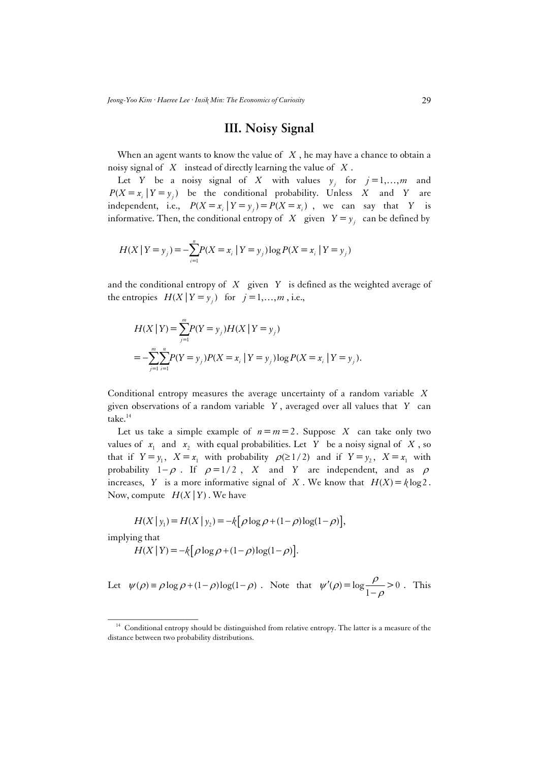## **III. Noisy Signal**

When an agent wants to know the value of *X* , he may have a chance to obtain a noisy signal of *X* instead of directly learning the value of *X* .

Let *Y* be a noisy signal of *X* with values  $y_i$  for  $j = 1, \dots, m$  and  $P(X = x_i | Y = y_i)$  be the conditional probability. Unless *X* and *Y* are independent, i.e.,  $P(X = x_i | Y = y_i) = P(X = x_i)$ , we can say that *Y* is informative. Then, the conditional entropy of *X* given  $Y = y_i$  can be defined by

$$
H(X | Y = y_j) = -\sum_{i=1}^{n} P(X = x_i | Y = y_j) \log P(X = x_i | Y = y_j)
$$

and the conditional entropy of *X* given *Y* is defined as the weighted average of the entropies  $H(X | Y = y_i)$  for  $j = 1, ..., m$ , i.e.,

$$
H(X | Y) = \sum_{j=1}^{m} P(Y = y_j) H(X | Y = y_j)
$$
  
= 
$$
-\sum_{j=1}^{m} \sum_{i=1}^{n} P(Y = y_j) P(X = x_i | Y = y_j) \log P(X = x_i | Y = y_j).
$$

Conditional entropy measures the average uncertainty of a random variable *X* given observations of a random variable *Y* , averaged over all values that *Y* can take.<sup>14</sup>

Let us take a simple example of  $n = m = 2$ . Suppose *X* can take only two values of  $x_1$  and  $x_2$  with equal probabilities. Let *Y* be a noisy signal of *X*, so that if  $Y = y_1$ ,  $X = x_1$  with probability  $\rho(\geq 1/2)$  and if  $Y = y_2$ ,  $X = x_1$  with probability  $1-\rho$ . If  $\rho=1/2$ , *X* and *Y* are independent, and as  $\rho$ increases, *Y* is a more informative signal of *X*. We know that  $H(X) = k \log 2$ . Now, compute  $H(X|Y)$ . We have

$$
H(X | y_1) = H(X | y_2) = -k [\rho \log \rho + (1 - \rho) \log(1 - \rho)],
$$

implying that

$$
H(X | Y) = -k \left[ \rho \log \rho + (1 - \rho) \log(1 - \rho) \right].
$$

Let 
$$
\psi(\rho) = \rho \log \rho + (1 - \rho) \log(1 - \rho)
$$
. Note that  $\psi'(\rho) = \log \frac{\rho}{1 - \rho} > 0$ . This

<sup>&</sup>lt;sup>14</sup> Conditional entropy should be distinguished from relative entropy. The latter is a measure of the distance between two probability distributions.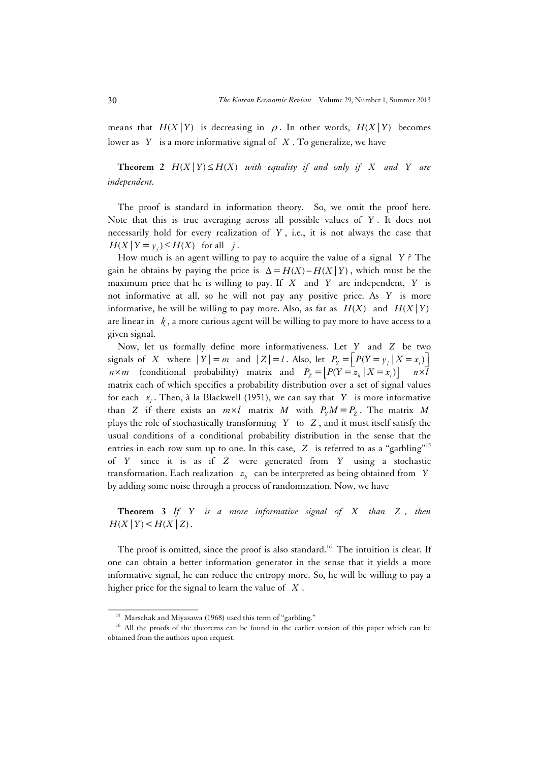means that  $H(X | Y)$  is decreasing in  $\rho$ . In other words,  $H(X | Y)$  becomes lower as *Y* is a more informative signal of *X* . To generalize, we have

**Theorem 2**  $H(X | Y) \leq H(X)$  with equality if and only if X and Y are *independent.* 

The proof is standard in information theory. So, we omit the proof here. Note that this is true averaging across all possible values of *Y* . It does not necessarily hold for every realization of *Y* , i.e., it is not always the case that  $H(X | Y = y_i) \le H(X)$  for all *j*.

How much is an agent willing to pay to acquire the value of a signal *Y* ? The gain he obtains by paying the price is  $\Delta = H(X) - H(X | Y)$ , which must be the maximum price that he is willing to pay. If *X* and *Y* are independent, *Y* is not informative at all, so he will not pay any positive price. As *Y* is more informative, he will be willing to pay more. Also, as far as  $H(X)$  and  $H(X|Y)$ are linear in  $k$ , a more curious agent will be willing to pay more to have access to a given signal.

Now, let us formally define more informativeness. Let *Y* and *Z* be two signals of *X* where  $|Y| = m$  and  $|Z| = l$ . Also, let  $P_y = |P(Y = y_i | X = x_i)|$  $n \times m$  (conditional probability) matrix and  $P_z = [P(Y = x_k | X = x_j)]$   $n \times \overline{l}$ matrix each of which specifies a probability distribution over a set of signal values for each  $x_i$ . Then, à la Blackwell (1951), we can say that *Y* is more informative than *Z* if there exists an  $m \times l$  matrix *M* with  $P_y M = P_z$ . The matrix *M* plays the role of stochastically transforming *Y* to *Z* , and it must itself satisfy the usual conditions of a conditional probability distribution in the sense that the entries in each row sum up to one. In this case, *Z* is referred to as a "garbling"15 of *Y* since it is as if *Z* were generated from *Y* using a stochastic transformation. Each realization  $z<sub>h</sub>$  can be interpreted as being obtained from *Y* by adding some noise through a process of randomization. Now, we have

**Theorem 3** *If Y is a more informative signal of X than Z , then*   $H(X | Y) < H(X | Z)$ .

The proof is omitted, since the proof is also standard.<sup>16</sup> The intuition is clear. If one can obtain a better information generator in the sense that it yields a more informative signal, he can reduce the entropy more. So, he will be willing to pay a higher price for the signal to learn the value of *X* .

<sup>&</sup>lt;sup>15</sup> Marschak and Miyasawa (1968) used this term of "garbling." <sup>16</sup> All the proofs of the theorems can be found in the earlier version of this paper which can be obtained from the authors upon request.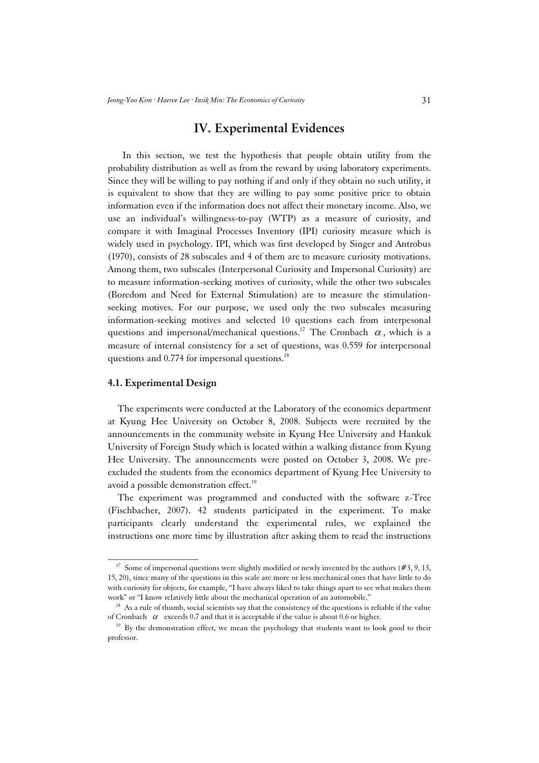## **IV. Experimental Evidences**

 In this section, we test the hypothesis that people obtain utility from the probability distribution as well as from the reward by using laboratory experiments. Since they will be willing to pay nothing if and only if they obtain no such utility, it is equivalent to show that they are willing to pay some positive price to obtain information even if the information does not affect their monetary income. Also, we use an individual's willingness-to-pay (WTP) as a measure of curiosity, and compare it with Imaginal Processes Inventory (IPI) curiosity measure which is widely used in psychology. IPI, which was first developed by Singer and Antrobus (1970), consists of 28 subscales and 4 of them are to measure curiosity motivations. Among them, two subscales (Interpersonal Curiosity and Impersonal Curiosity) are to measure information-seeking motives of curiosity, while the other two subscales (Boredom and Need for External Stimulation) are to measure the stimulationseeking motives. For our purpose, we used only the two subscales measuring information-seeking motives and selected 10 questions each from interpesonal questions and impersonal/mechanical questions.<sup>17</sup> The Cronbach  $\alpha$ , which is a measure of internal consistency for a set of questions, was 0.559 for interpersonal questions and  $0.774$  for impersonal questions.<sup>18</sup>

#### **4.1. Experimental Design**

\_\_\_\_\_\_\_\_\_\_\_\_\_\_\_\_\_\_\_\_

The experiments were conducted at the Laboratory of the economics department at Kyung Hee University on October 8, 2008. Subjects were recruited by the announcements in the community website in Kyung Hee University and Hankuk University of Foreign Study which is located within a walking distance from Kyung Hee University. The announcements were posted on October 3, 2008. We preexcluded the students from the economics department of Kyung Hee University to avoid a possible demonstration effect.<sup>19</sup>

The experiment was programmed and conducted with the software z-Tree (Fischbacher, 2007). 42 students participated in the experiment. To make participants clearly understand the experimental rules, we explained the instructions one more time by illustration after asking them to read the instructions

<sup>&</sup>lt;sup>17</sup> Some of impersonal questions were slightly modified or newly invented by the authors (#3, 9, 13, 15, 20), since many of the questions in this scale are more or less mechanical ones that have little to do with curiosity for objects, for example, "I have always liked to take things apart to see what makes them work" or "I know relatively little about the mechanical operation of an automobile."  $18$  As a rule of thumb, social scientists say that the consistency of the questions is reliable if the value

of Cronbach  $\alpha$  exceeds 0.7 and that it is acceptable if the value is about 0.6 or higher.<br><sup>19</sup> By the demonstration effect, we mean the psychology that students want to look good to their

professor.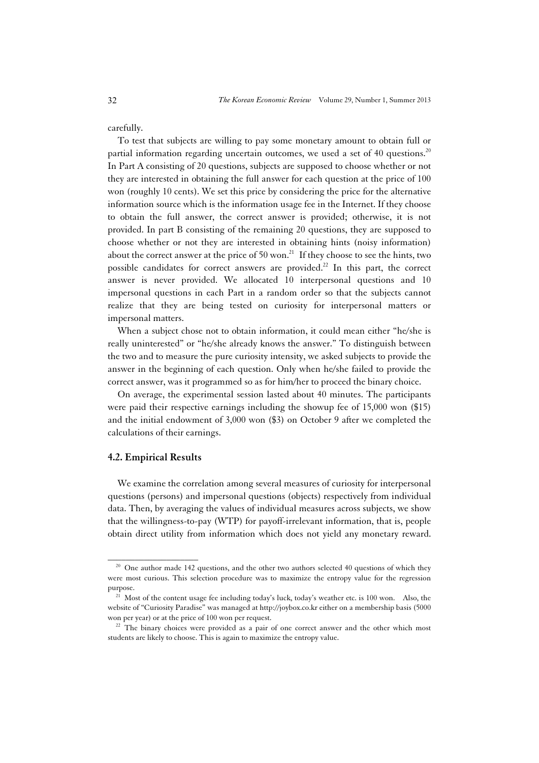carefully.

To test that subjects are willing to pay some monetary amount to obtain full or partial information regarding uncertain outcomes, we used a set of 40 questions.<sup>20</sup> In Part A consisting of 20 questions, subjects are supposed to choose whether or not they are interested in obtaining the full answer for each question at the price of 100 won (roughly 10 cents). We set this price by considering the price for the alternative information source which is the information usage fee in the Internet. If they choose to obtain the full answer, the correct answer is provided; otherwise, it is not provided. In part B consisting of the remaining 20 questions, they are supposed to choose whether or not they are interested in obtaining hints (noisy information) about the correct answer at the price of 50 won.<sup>21</sup> If they choose to see the hints, two possible candidates for correct answers are provided.<sup>22</sup> In this part, the correct answer is never provided. We allocated 10 interpersonal questions and 10 impersonal questions in each Part in a random order so that the subjects cannot realize that they are being tested on curiosity for interpersonal matters or impersonal matters.

When a subject chose not to obtain information, it could mean either "he/she is really uninterested" or "he/she already knows the answer." To distinguish between the two and to measure the pure curiosity intensity, we asked subjects to provide the answer in the beginning of each question. Only when he/she failed to provide the correct answer, was it programmed so as for him/her to proceed the binary choice.

On average, the experimental session lasted about 40 minutes. The participants were paid their respective earnings including the showup fee of 15,000 won (\$15) and the initial endowment of 3,000 won (\$3) on October 9 after we completed the calculations of their earnings.

#### **4.2. Empirical Results**

\_\_\_\_\_\_\_\_\_\_\_\_\_\_\_\_\_\_\_\_

We examine the correlation among several measures of curiosity for interpersonal questions (persons) and impersonal questions (objects) respectively from individual data. Then, by averaging the values of individual measures across subjects, we show that the willingness-to-pay (WTP) for payoff-irrelevant information, that is, people obtain direct utility from information which does not yield any monetary reward.

<sup>&</sup>lt;sup>20</sup> One author made 142 questions, and the other two authors selected 40 questions of which they were most curious. This selection procedure was to maximize the entropy value for the regression purpose.<br><sup>21</sup> Most of the content usage fee including today's luck, today's weather etc. is 100 won. Also, the

website of "Curiosity Paradise" was managed at http://joybox.co.kr either on a membership basis (5000 won per year) or at the price of 100 won per request.<br><sup>22</sup> The binary choices were provided as a pair of one correct answer and the other which most

students are likely to choose. This is again to maximize the entropy value.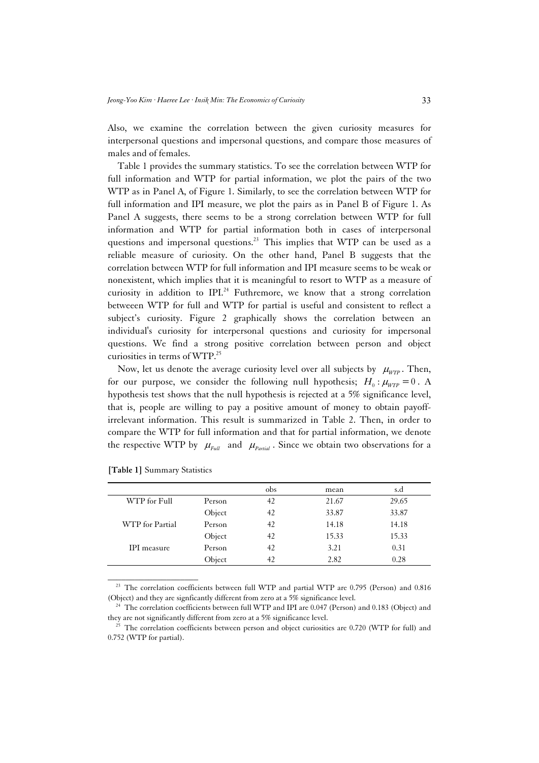Also, we examine the correlation between the given curiosity measures for interpersonal questions and impersonal questions, and compare those measures of males and of females.

Table 1 provides the summary statistics. To see the correlation between WTP for full information and WTP for partial information, we plot the pairs of the two WTP as in Panel A, of Figure 1. Similarly, to see the correlation between WTP for full information and IPI measure, we plot the pairs as in Panel B of Figure 1. As Panel A suggests, there seems to be a strong correlation between WTP for full information and WTP for partial information both in cases of interpersonal questions and impersonal questions.<sup>23</sup> This implies that WTP can be used as a reliable measure of curiosity. On the other hand, Panel B suggests that the correlation between WTP for full information and IPI measure seems to be weak or nonexistent, which implies that it is meaningful to resort to WTP as a measure of curiosity in addition to IPI.<sup>24</sup> Futhremore, we know that a strong correlation betweeen WTP for full and WTP for partial is useful and consistent to reflect a subject's curiosity. Figure 2 graphically shows the correlation between an individual's curiosity for interpersonal questions and curiosity for impersonal questions. We find a strong positive correlation between person and object curiosities in terms of WTP.25

Now, let us denote the average curiosity level over all subjects by  $\mu_{WTP}$ . Then, for our purpose, we consider the following null hypothesis;  $H_0 : \mu_{wrp} = 0$ . A hypothesis test shows that the null hypothesis is rejected at a 5% significance level, that is, people are willing to pay a positive amount of money to obtain payoffirrelevant information. This result is summarized in Table 2. Then, in order to compare the WTP for full information and that for partial information, we denote the respective WTP by  $\mu_{Full}$  and  $\mu_{Farl}$ . Since we obtain two observations for a

|                 |        | obs | mean  | s.d   |
|-----------------|--------|-----|-------|-------|
| WTP for Full    | Person | 42  | 21.67 | 29.65 |
|                 | Object | 42  | 33.87 | 33.87 |
| WTP for Partial | Person | 42  | 14.18 | 14.18 |
|                 | Object | 42  | 15.33 | 15.33 |
| IPI measure     | Person | 42  | 3.21  | 0.31  |
|                 | Object | 42  | 2.82  | 0.28  |

**[Table 1]** Summary Statistics

\_\_\_\_\_\_\_\_\_\_\_\_\_\_\_\_\_\_\_\_

<sup>23</sup> The correlation coefficients between full WTP and partial WTP are 0.795 (Person) and 0.816 (Object) and they are signficantly different from zero at a 5% significance level.<br><sup>24</sup> The correlation coefficients between full WTP and IPI are 0.047 (Person) and 0.183 (Object) and

they are not significantly different from zero at a 5% significance level.<br><sup>25</sup> The correlation coefficients between person and object curiosities are 0.720 (WTP for full) and

<sup>0.752 (</sup>WTP for partial).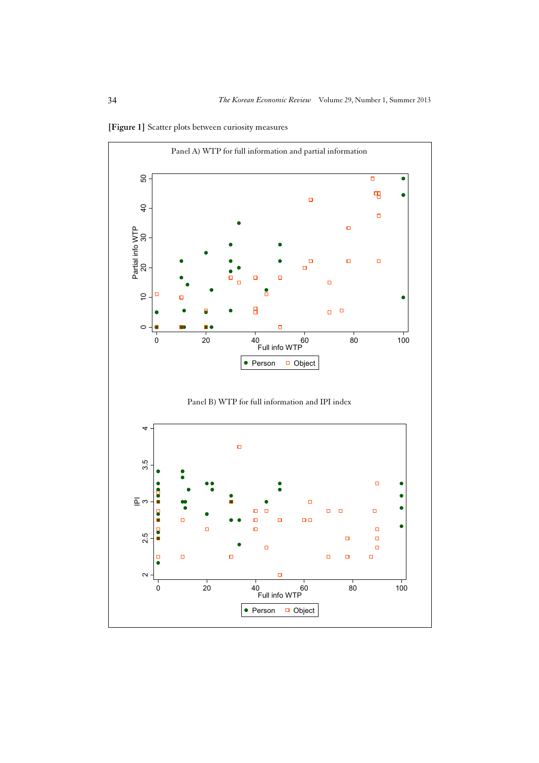

**[Figure 1]** Scatter plots between curiosity measures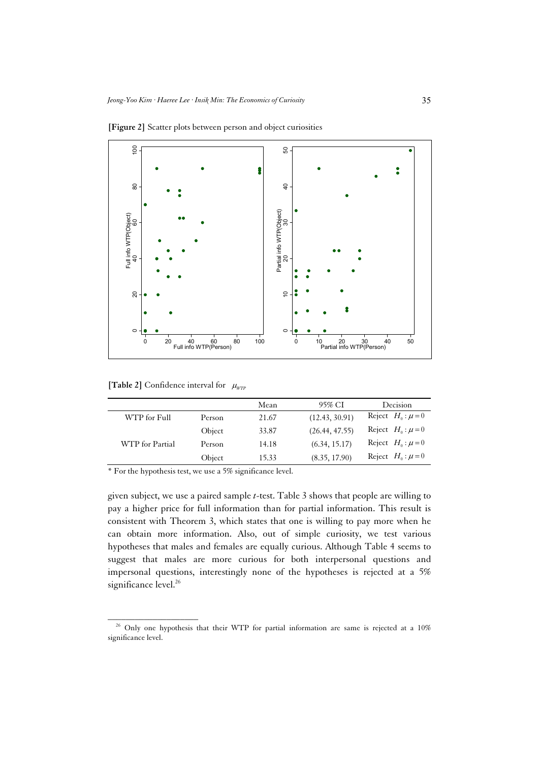

**[Figure 2]** Scatter plots between person and object curiosities

**[Table 2]** Confidence interval for  $\mu_{WTP}$ 

\_\_\_\_\_\_\_\_\_\_\_\_\_\_\_\_\_\_\_\_

|                 |        | Mean  | 95% CI         | <b>Decision</b>       |
|-----------------|--------|-------|----------------|-----------------------|
|                 |        |       |                |                       |
| WTP for Full    | Person | 21.67 | (12.43, 30.91) | Reject $H_0: \mu = 0$ |
|                 | Object | 33.87 | (26.44, 47.55) | Reject $H_0: \mu = 0$ |
| WTP for Partial | Person | 14.18 | (6.34, 15.17)  | Reject $H_0: \mu = 0$ |
|                 | Object | 15.33 | (8.35, 17.90)  | Reject $H_0: \mu = 0$ |
|                 |        |       |                |                       |

\* For the hypothesis test, we use a 5% significance level.

given subject, we use a paired sample *t*-test. Table 3 shows that people are willing to pay a higher price for full information than for partial information. This result is consistent with Theorem 3, which states that one is willing to pay more when he can obtain more information. Also, out of simple curiosity, we test various hypotheses that males and females are equally curious. Although Table 4 seems to suggest that males are more curious for both interpersonal questions and impersonal questions, interestingly none of the hypotheses is rejected at a 5% significance level.<sup>26</sup>

<sup>&</sup>lt;sup>26</sup> Only one hypothesis that their WTP for partial information are same is rejected at a 10% significance level.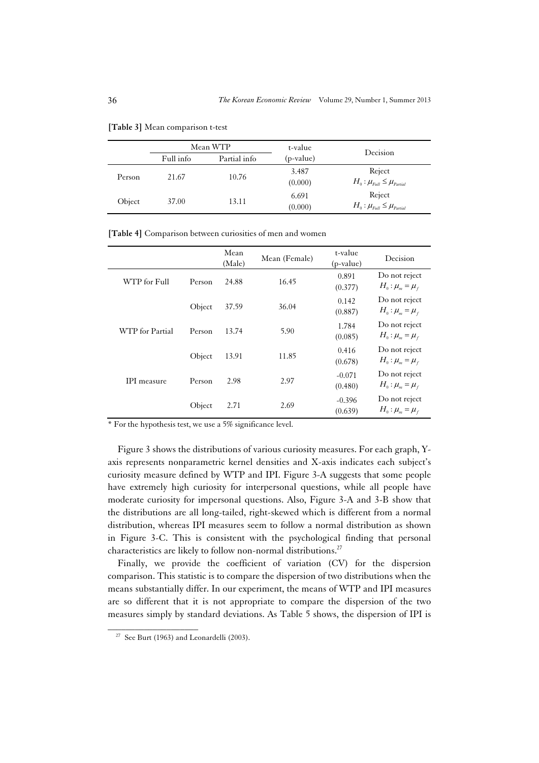|        |           | Mean WTP     |                  |                                                |  |
|--------|-----------|--------------|------------------|------------------------------------------------|--|
|        | Full info | Partial info | (p-value)        | Decision                                       |  |
| Person | 21.67     | 10.76        | 3.487<br>(0.000) | Reject<br>$H_0: \mu_{Full} \leq \mu_{Partial}$ |  |
| Object | 37.00     | 13.11        | 6.691<br>(0.000) | Reject<br>$H_0: \mu_{Full} \leq \mu_{Partial}$ |  |

**[Table 3]** Mean comparison t-test

**[Table 4]** Comparison between curiosities of men and women

|                    |        | Mean<br>(Male) | Mean (Female) | t-value<br>(p-value) | Decision                                 |
|--------------------|--------|----------------|---------------|----------------------|------------------------------------------|
| WTP for Full       | Person | 24.88          | 16.45         | 0.891<br>(0.377)     | Do not reject<br>$H_0: \mu_m = \mu_f$    |
|                    | Object | 37.59          | 36.04         | 0.142<br>(0.887)     | Do not reject<br>$H_0$ : $\mu_m = \mu_f$ |
| WTP for Partial    | Person | 13.74          | 5.90          | 1.784<br>(0.085)     | Do not reject<br>$H_0: \mu_m = \mu_f$    |
|                    | Object | 13.91          | 11.85         | 0.416<br>(0.678)     | Do not reject<br>$H_0: \mu_m = \mu_f$    |
| <b>IPI</b> measure | Person | 2.98           | 2.97          | $-0.071$<br>(0.480)  | Do not reject<br>$H_0$ : $\mu_m = \mu_f$ |
|                    | Object | 2.71           | 2.69          | $-0.396$<br>(0.639)  | Do not reject<br>$H_0: \mu_m = \mu_f$    |

\* For the hypothesis test, we use a 5% significance level.

Figure 3 shows the distributions of various curiosity measures. For each graph, Yaxis represents nonparametric kernel densities and X-axis indicates each subject's curiosity measure defined by WTP and IPI. Figure 3-A suggests that some people have extremely high curiosity for interpersonal questions, while all people have moderate curiosity for impersonal questions. Also, Figure 3-A and 3-B show that the distributions are all long-tailed, right-skewed which is different from a normal distribution, whereas IPI measures seem to follow a normal distribution as shown in Figure 3-C. This is consistent with the psychological finding that personal characteristics are likely to follow non-normal distributions.<sup>27</sup>

Finally, we provide the coefficient of variation (CV) for the dispersion comparison. This statistic is to compare the dispersion of two distributions when the means substantially differ. In our experiment, the means of WTP and IPI measures are so different that it is not appropriate to compare the dispersion of the two measures simply by standard deviations. As Table 5 shows, the dispersion of IPI is

<sup>&</sup>lt;sup>27</sup> See Burt (1963) and Leonardelli (2003).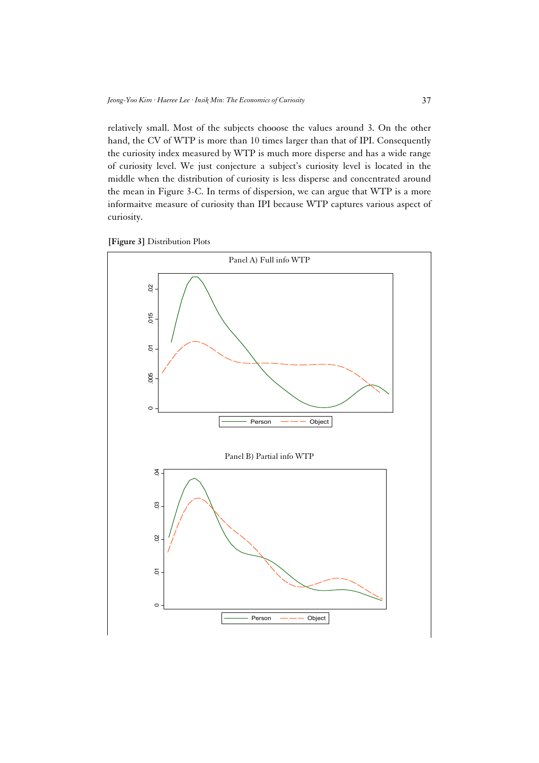relatively small. Most of the subjects chooose the values around 3. On the other hand, the CV of WTP is more than 10 times larger than that of IPI. Consequently the curiosity index measured by WTP is much more disperse and has a wide range of curiosity level. We just conjecture a subject's curiosity level is located in the middle when the distribution of curiosity is less disperse and concentrated around the mean in Figure 3-C. In terms of dispersion, we can argue that WTP is a more informaitve measure of curiosity than IPI because WTP captures various aspect of curiosity.



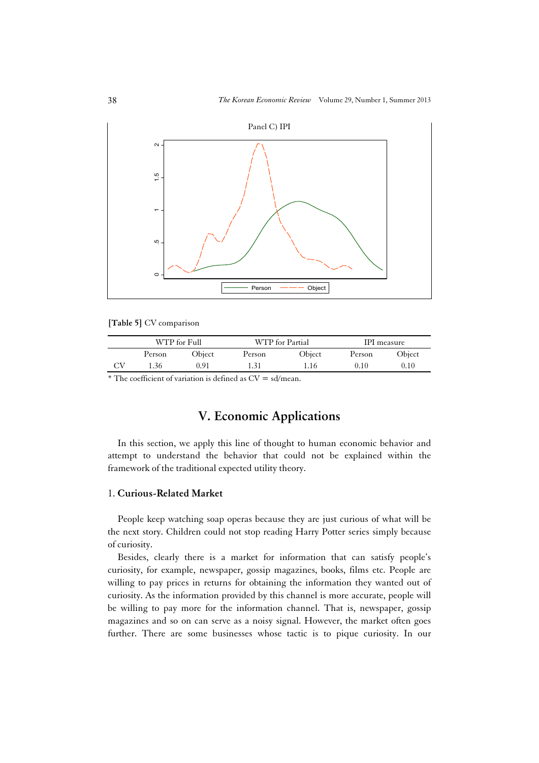

**[Table 5]** CV comparison

|          | WTP for Full |        |        | WTP for Partial |        | IPI measure |  |
|----------|--------------|--------|--------|-----------------|--------|-------------|--|
|          | Person       | Obiect | Person | Object          | Person | Object      |  |
| $\alpha$ | 1.36         | 0.91   | - 31   | 1.16            | 0.10   | 0.10        |  |
|          | $   -$       |        |        |                 |        |             |  |

 $*$  The coefficient of variation is defined as  $CV = sd/mean$ .

# **V. Economic Applications**

In this section, we apply this line of thought to human economic behavior and attempt to understand the behavior that could not be explained within the framework of the traditional expected utility theory.

### 1. **Curious-Related Market**

People keep watching soap operas because they are just curious of what will be the next story. Children could not stop reading Harry Potter series simply because of curiosity.

Besides, clearly there is a market for information that can satisfy people's curiosity, for example, newspaper, gossip magazines, books, films etc. People are willing to pay prices in returns for obtaining the information they wanted out of curiosity. As the information provided by this channel is more accurate, people will be willing to pay more for the information channel. That is, newspaper, gossip magazines and so on can serve as a noisy signal. However, the market often goes further. There are some businesses whose tactic is to pique curiosity. In our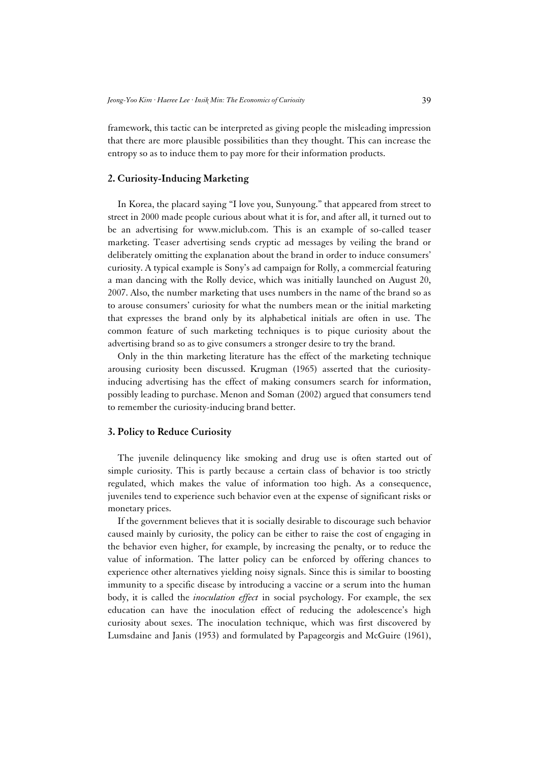framework, this tactic can be interpreted as giving people the misleading impression that there are more plausible possibilities than they thought. This can increase the entropy so as to induce them to pay more for their information products.

#### **2. Curiosity-Inducing Marketing**

In Korea, the placard saying "I love you, Sunyoung." that appeared from street to street in 2000 made people curious about what it is for, and after all, it turned out to be an advertising for www.miclub.com. This is an example of so-called teaser marketing. Teaser advertising sends cryptic ad messages by veiling the brand or deliberately omitting the explanation about the brand in order to induce consumers' curiosity. A typical example is Sony's ad campaign for Rolly, a commercial featuring a man dancing with the Rolly device, which was initially launched on August 20, 2007. Also, the number marketing that uses numbers in the name of the brand so as to arouse consumers' curiosity for what the numbers mean or the initial marketing that expresses the brand only by its alphabetical initials are often in use. The common feature of such marketing techniques is to pique curiosity about the advertising brand so as to give consumers a stronger desire to try the brand.

Only in the thin marketing literature has the effect of the marketing technique arousing curiosity been discussed. Krugman (1965) asserted that the curiosityinducing advertising has the effect of making consumers search for information, possibly leading to purchase. Menon and Soman (2002) argued that consumers tend to remember the curiosity-inducing brand better.

#### **3. Policy to Reduce Curiosity**

The juvenile delinquency like smoking and drug use is often started out of simple curiosity. This is partly because a certain class of behavior is too strictly regulated, which makes the value of information too high. As a consequence, juveniles tend to experience such behavior even at the expense of significant risks or monetary prices.

If the government believes that it is socially desirable to discourage such behavior caused mainly by curiosity, the policy can be either to raise the cost of engaging in the behavior even higher, for example, by increasing the penalty, or to reduce the value of information. The latter policy can be enforced by offering chances to experience other alternatives yielding noisy signals. Since this is similar to boosting immunity to a specific disease by introducing a vaccine or a serum into the human body, it is called the *inoculation effect* in social psychology. For example, the sex education can have the inoculation effect of reducing the adolescence's high curiosity about sexes. The inoculation technique, which was first discovered by Lumsdaine and Janis (1953) and formulated by Papageorgis and McGuire (1961),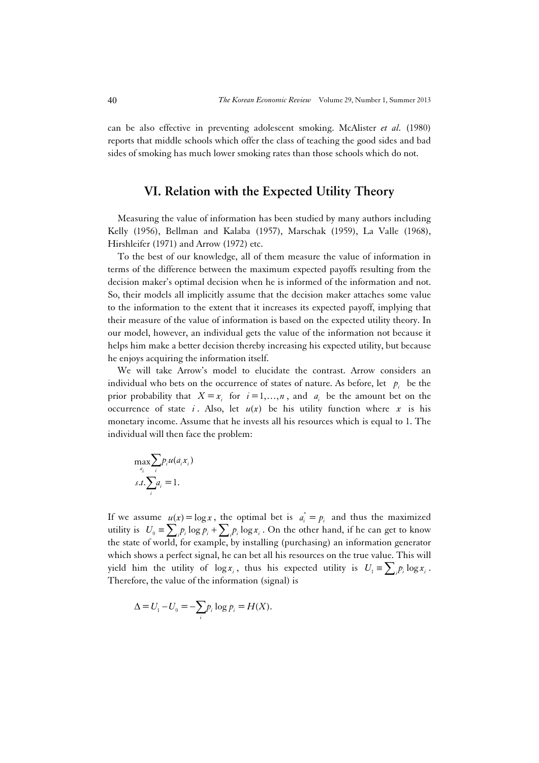can be also effective in preventing adolescent smoking. McAlister *et al.* (1980) reports that middle schools which offer the class of teaching the good sides and bad sides of smoking has much lower smoking rates than those schools which do not.

# **VI. Relation with the Expected Utility Theory**

Measuring the value of information has been studied by many authors including Kelly (1956), Bellman and Kalaba (1957), Marschak (1959), La Valle (1968), Hirshleifer (1971) and Arrow (1972) etc.

To the best of our knowledge, all of them measure the value of information in terms of the difference between the maximum expected payoffs resulting from the decision maker's optimal decision when he is informed of the information and not. So, their models all implicitly assume that the decision maker attaches some value to the information to the extent that it increases its expected payoff, implying that their measure of the value of information is based on the expected utility theory. In our model, however, an individual gets the value of the information not because it helps him make a better decision thereby increasing his expected utility, but because he enjoys acquiring the information itself.

We will take Arrow's model to elucidate the contrast. Arrow considers an individual who bets on the occurrence of states of nature. As before, let  $p_i$  be the prior probability that  $X = x_i$  for  $i = 1, ..., n$ , and  $a_i$  be the amount bet on the occurrence of state *i*. Also, let  $u(x)$  be his utility function where x is his monetary income. Assume that he invests all his resources which is equal to 1. The individual will then face the problem:

$$
\max_{a_i} \sum_i p_i u(a_i x_i)
$$
  
s.t. 
$$
\sum_i a_i = 1.
$$

If we assume  $u(x) = \log x$ , the optimal bet is  $a_i^* = p_i$  and thus the maximized utility is  $U_0 = \sum_i p_i \log p_i + \sum_i p_i \log x_i$ . On the other hand, if he can get to know the state of world, for example, by installing (purchasing) an information generator which shows a perfect signal, he can bet all his resources on the true value. This will yield him the utility of  $\log x_i$ , thus his expected utility is  $U_i = \sum_i p_i \log x_i$ . Therefore, the value of the information (signal) is

$$
\Delta = U_1 - U_0 = -\sum_i p_i \log p_i = H(X).
$$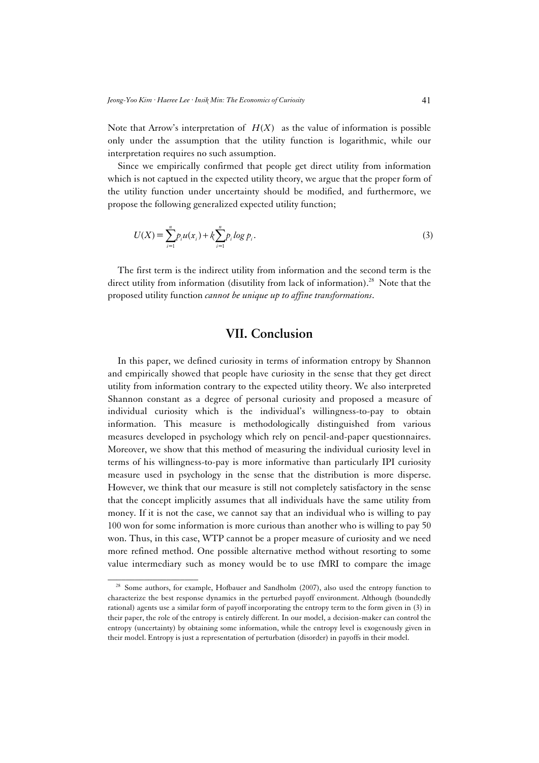Note that Arrow's interpretation of  $H(X)$  as the value of information is possible only under the assumption that the utility function is logarithmic, while our interpretation requires no such assumption.

Since we empirically confirmed that people get direct utility from information which is not captued in the expected utility theory, we argue that the proper form of the utility function under uncertainty should be modified, and furthermore, we propose the following generalized expected utility function;

$$
U(X) = \sum_{i=1}^{n} p_i u(x_i) + k \sum_{i=1}^{n} p_i \log p_i.
$$
 (3)

The first term is the indirect utility from information and the second term is the direct utility from information (disutility from lack of information).<sup>28</sup> Note that the proposed utility function *cannot be unique up to affine transformations*.

# **VII. Conclusion**

In this paper, we defined curiosity in terms of information entropy by Shannon and empirically showed that people have curiosity in the sense that they get direct utility from information contrary to the expected utility theory. We also interpreted Shannon constant as a degree of personal curiosity and proposed a measure of individual curiosity which is the individual's willingness-to-pay to obtain information. This measure is methodologically distinguished from various measures developed in psychology which rely on pencil-and-paper questionnaires. Moreover, we show that this method of measuring the individual curiosity level in terms of his willingness-to-pay is more informative than particularly IPI curiosity measure used in psychology in the sense that the distribution is more disperse. However, we think that our measure is still not completely satisfactory in the sense that the concept implicitly assumes that all individuals have the same utility from money. If it is not the case, we cannot say that an individual who is willing to pay 100 won for some information is more curious than another who is willing to pay 50 won. Thus, in this case, WTP cannot be a proper measure of curiosity and we need more refined method. One possible alternative method without resorting to some value intermediary such as money would be to use fMRI to compare the image

<sup>&</sup>lt;sup>28</sup> Some authors, for example, Hofbauer and Sandholm (2007), also used the entropy function to characterize the best response dynamics in the perturbed payoff environment. Although (boundedly rational) agents use a similar form of payoff incorporating the entropy term to the form given in (3) in their paper, the role of the entropy is entirely different. In our model, a decision-maker can control the entropy (uncertainty) by obtaining some information, while the entropy level is exogenously given in their model. Entropy is just a representation of perturbation (disorder) in payoffs in their model.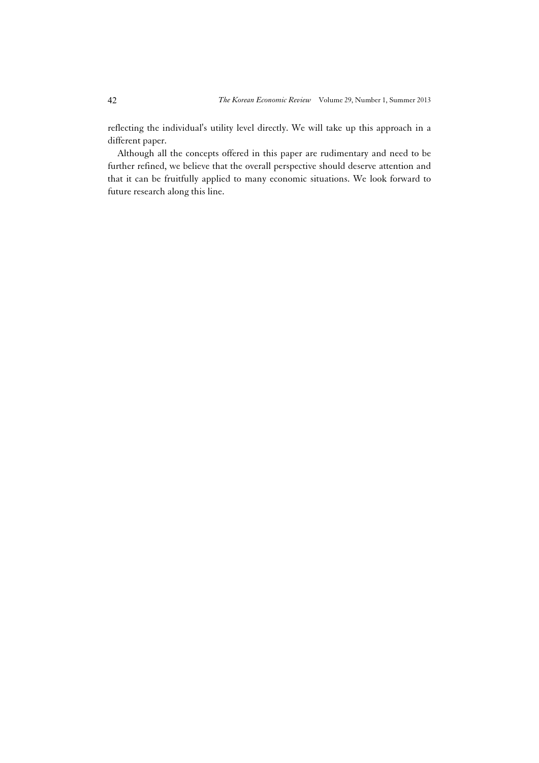reflecting the individual's utility level directly. We will take up this approach in a different paper.

Although all the concepts offered in this paper are rudimentary and need to be further refined, we believe that the overall perspective should deserve attention and that it can be fruitfully applied to many economic situations. We look forward to future research along this line.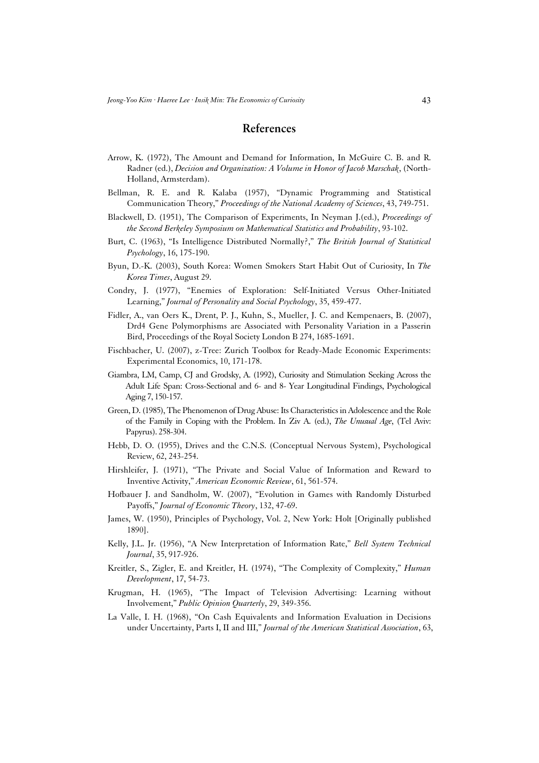### **References**

- Arrow, K. (1972), The Amount and Demand for Information, In McGuire C. B. and R. Radner (ed.), *Decision and Organization: A Volume in Honor of Jacob Marschak*, (North-Holland, Armsterdam).
- Bellman, R. E. and R. Kalaba (1957), "Dynamic Programming and Statistical Communication Theory," *Proceedings of the National Academy of Sciences*, 43, 749-751.
- Blackwell, D. (1951), The Comparison of Experiments, In Neyman J.(ed.), *Proceedings of the Second Berkeley Symposium on Mathematical Statistics and Probability*, 93-102.
- Burt, C. (1963), "Is Intelligence Distributed Normally?," *The British Journal of Statistical Psychology*, 16, 175-190.
- Byun, D.-K. (2003), South Korea: Women Smokers Start Habit Out of Curiosity, In *The Korea Times*, August 29.
- Condry, J. (1977), "Enemies of Exploration: Self-Initiated Versus Other-Initiated Learning," *Journal of Personality and Social Psychology*, 35, 459-477.
- Fidler, A., van Oers K., Drent, P. J., Kuhn, S., Mueller, J. C. and Kempenaers, B. (2007), Drd4 Gene Polymorphisms are Associated with Personality Variation in a Passerin Bird, Proceedings of the Royal Society London B 274, 1685-1691.
- Fischbacher, U. (2007), z-Tree: Zurich Toolbox for Ready-Made Economic Experiments: Experimental Economics, 10, 171-178.
- Giambra, LM, Camp, CJ and Grodsky, A. (1992), Curiosity and Stimulation Seeking Across the Adult Life Span: Cross-Sectional and 6- and 8- Year Longitudinal Findings, Psychological Aging 7, 150-157.
- Green, D. (1985), The Phenomenon of Drug Abuse: Its Characteristics in Adolescence and the Role of the Family in Coping with the Problem. In Ziv A. (ed.), *The Unusual Age*, (Tel Aviv: Papyrus). 258-304.
- Hebb, D. O. (1955), Drives and the C.N.S. (Conceptual Nervous System), Psychological Review, 62, 243-254.
- Hirshleifer, J. (1971), "The Private and Social Value of Information and Reward to Inventive Activity," *American Economic Review*, 61, 561-574.
- Hofbauer J. and Sandholm, W. (2007), "Evolution in Games with Randomly Disturbed Payoffs," *Journal of Economic Theory*, 132, 47-69.
- James, W. (1950), Principles of Psychology, Vol. 2, New York: Holt [Originally published 1890].
- Kelly, J.L. Jr. (1956), "A New Interpretation of Information Rate," *Bell System Technical Journal*, 35, 917-926.
- Kreitler, S., Zigler, E. and Kreitler, H. (1974), "The Complexity of Complexity," *Human Development*, 17, 54-73.
- Krugman, H. (1965), "The Impact of Television Advertising: Learning without Involvement," *Public Opinion Quarterly*, 29, 349-356.
- La Valle, I. H. (1968), "On Cash Equivalents and Information Evaluation in Decisions under Uncertainty, Parts I, II and III," *Journal of the American Statistical Association*, 63,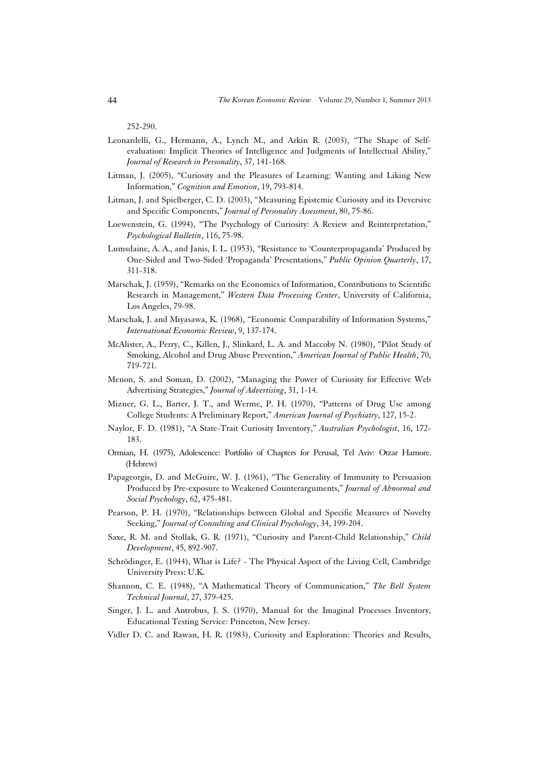252-290.

- Leonardelli, G., Hermann, A., Lynch M., and Arkin R. (2003), "The Shape of Selfevaluation: Implicit Theories of Intelligence and Judgments of Intellectual Ability," *Journal of Research in Personality*, 37, 141-168.
- Litman, J. (2005), "Curiosity and the Pleasures of Learning: Wanting and Liking New Information," *Cognition and Emotion*, 19, 793-814.
- Litman, J. and Spielberger, C. D. (2003), "Measuring Epistemic Curiosity and its Deversive and Specific Components," *Journal of Personality Assessment*, 80, 75-86.
- Loewenstein, G. (1994), "The Psychology of Curiosity: A Review and Reinterpretation," *Psychological Bulletin*, 116, 75-98.
- Lumsdaine, A. A., and Janis, I. L. (1953), "Resistance to 'Counterpropaganda' Produced by One-Sided and Two-Sided 'Propaganda' Presentations," *Public Opinion Quarterly*, 17, 311-318.
- Marschak, J. (1959), "Remarks on the Economics of Information, Contributions to Scientific Research in Management," *Western Data Processing Center*, University of California, Los Angeles, 79-98.
- Marschak, J. and Miyasawa, K. (1968), "Economic Comparability of Information Systems," *International Economic Review*, 9, 137-174.
- McAlister, A., Perry, C., Killen, J., Slinkard, L. A. and Maccoby N. (1980), "Pilot Study of Smoking, Alcohol and Drug Abuse Prevention," *American Journal of Public Health*, 70, 719-721.
- Menon, S. and Soman, D. (2002), "Managing the Power of Curiosity for Effective Web Advertising Strategies," *Journal of Advertising*, 31, 1-14.
- Mizner, G. L., Barter, J. T., and Werme, P. H. (1970), "Patterns of Drug Use among College Students: A Preliminary Report," *American Journal of Psychiatry*, 127, 15-2.
- Naylor, F. D. (1981), "A State-Trait Curiosity Inventory," *Australian Psychologist*, 16, 172- 183.
- Ormian, H. (1975), Adolescence: Portfolio of Chapters for Perusal, Tel Aviv: Otzar Hamore. (Hebrew)
- Papageorgis, D. and McGuire, W. J. (1961), "The Generality of Immunity to Persuasion Produced by Pre-exposure to Weakened Counterarguments," *Journal of Abnormal and Social Psychology*, 62, 475-481.
- Pearson, P. H. (1970), "Relationships between Global and Specific Measures of Novelty Seeking," *Journal of Consulting and Clinical Psychology*, 34, 199-204.
- Saxe, R. M. and Stollak, G. R. (1971), "Curiosity and Parent-Child Relationship," *Child Development*, 45, 892-907.
- Schrödinger, E. (1944), What is Life? The Physical Aspect of the Living Cell, Cambridge University Press: U.K.
- Shannon, C. E. (1948), "A Mathematical Theory of Communication," *The Bell System Technical Journal*, 27, 379-425.
- Singer, J. L. and Antrobus, J. S. (1970), Manual for the Imaginal Processes Inventory, Educational Testing Service: Princeton, New Jersey.
- Vidler D. C. and Rawan, H. R. (1983), Curiosity and Exploration: Theories and Results,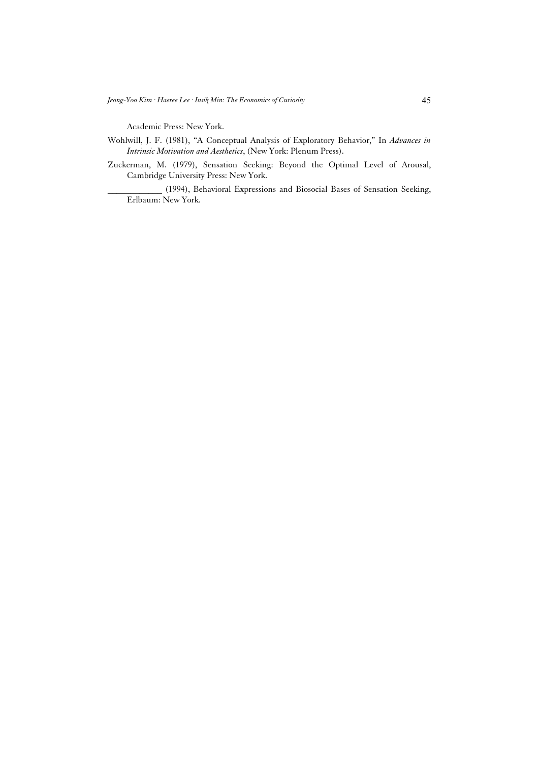Academic Press: New York.

- Wohlwill, J. F. (1981), "A Conceptual Analysis of Exploratory Behavior," In *Advances in Intrinsic Motivation and Aesthetics*, (New York: Plenum Press).
- Zuckerman, M. (1979), Sensation Seeking: Beyond the Optimal Level of Arousal, Cambridge University Press: New York.

\_\_\_\_\_\_\_\_\_\_\_\_ (1994), Behavioral Expressions and Biosocial Bases of Sensation Seeking, Erlbaum: New York.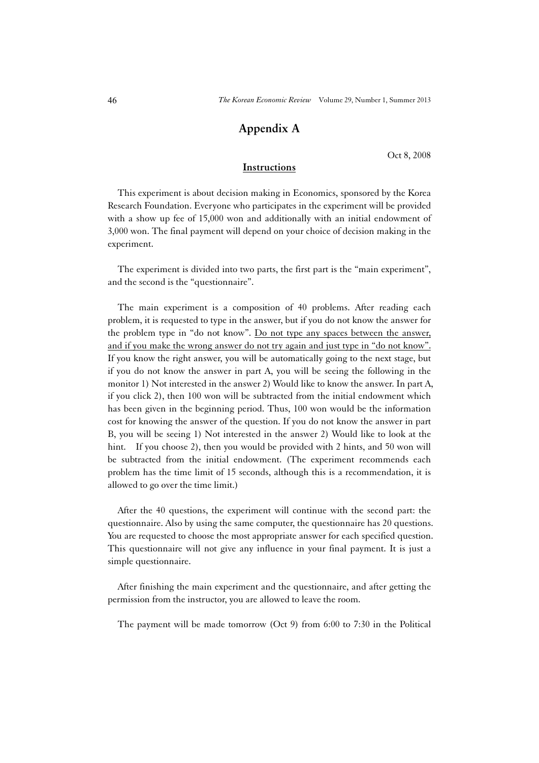## **Appendix A**

Oct 8, 2008

### **Instructions**

This experiment is about decision making in Economics, sponsored by the Korea Research Foundation. Everyone who participates in the experiment will be provided with a show up fee of 15,000 won and additionally with an initial endowment of 3,000 won. The final payment will depend on your choice of decision making in the experiment.

The experiment is divided into two parts, the first part is the "main experiment", and the second is the "questionnaire".

The main experiment is a composition of 40 problems. After reading each problem, it is requested to type in the answer, but if you do not know the answer for the problem type in "do not know". Do not type any spaces between the answer, and if you make the wrong answer do not try again and just type in "do not know". If you know the right answer, you will be automatically going to the next stage, but if you do not know the answer in part A, you will be seeing the following in the monitor 1) Not interested in the answer 2) Would like to know the answer. In part A, if you click 2), then 100 won will be subtracted from the initial endowment which has been given in the beginning period. Thus, 100 won would be the information cost for knowing the answer of the question. If you do not know the answer in part B, you will be seeing 1) Not interested in the answer 2) Would like to look at the hint. If you choose 2), then you would be provided with 2 hints, and 50 won will be subtracted from the initial endowment. (The experiment recommends each problem has the time limit of 15 seconds, although this is a recommendation, it is allowed to go over the time limit.)

After the 40 questions, the experiment will continue with the second part: the questionnaire. Also by using the same computer, the questionnaire has 20 questions. You are requested to choose the most appropriate answer for each specified question. This questionnaire will not give any influence in your final payment. It is just a simple questionnaire.

After finishing the main experiment and the questionnaire, and after getting the permission from the instructor, you are allowed to leave the room.

The payment will be made tomorrow (Oct 9) from 6:00 to 7:30 in the Political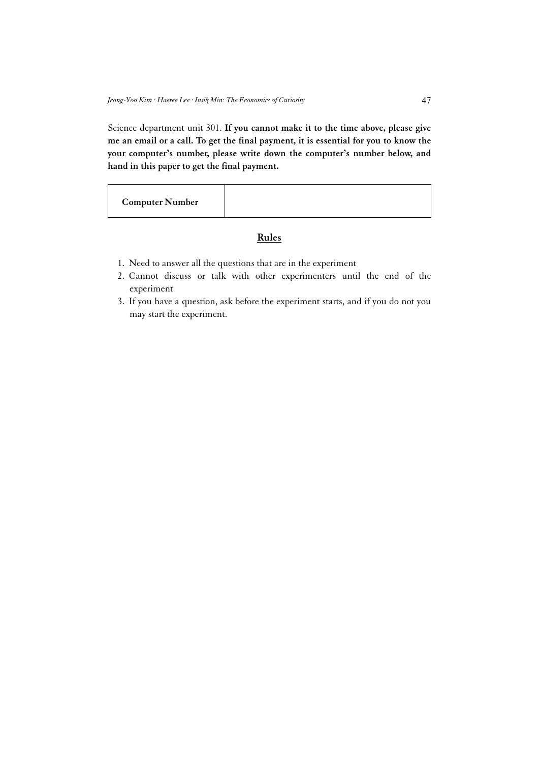Science department unit 301. **If you cannot make it to the time above, please give me an email or a call. To get the final payment, it is essential for you to know the your computer's number, please write down the computer's number below, and hand in this paper to get the final payment.** 

**Computer Number** 

### **Rules**

- 1. Need to answer all the questions that are in the experiment
- 2. Cannot discuss or talk with other experimenters until the end of the experiment
- 3. If you have a question, ask before the experiment starts, and if you do not you may start the experiment.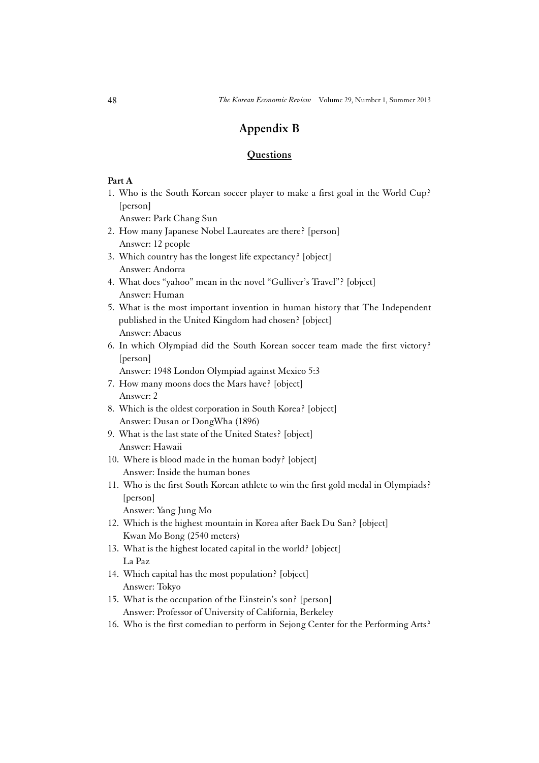## **Appendix B**

#### **Questions**

### **Part A**

1. Who is the South Korean soccer player to make a first goal in the World Cup? [person]

Answer: Park Chang Sun

- 2. How many Japanese Nobel Laureates are there? [person] Answer: 12 people
- 3. Which country has the longest life expectancy? [object] Answer: Andorra
- 4. What does "yahoo" mean in the novel "Gulliver's Travel"? [object] Answer: Human
- 5. What is the most important invention in human history that The Independent published in the United Kingdom had chosen? [object] Answer: Abacus
- 6. In which Olympiad did the South Korean soccer team made the first victory? [person]

Answer: 1948 London Olympiad against Mexico 5:3

- 7. How many moons does the Mars have? [object] Answer: 2
- 8. Which is the oldest corporation in South Korea? [object] Answer: Dusan or DongWha (1896)
- 9. What is the last state of the United States? [object] Answer: Hawaii
- 10. Where is blood made in the human body? [object] Answer: Inside the human bones
- 11. Who is the first South Korean athlete to win the first gold medal in Olympiads? [person]

Answer: Yang Jung Mo

- 12. Which is the highest mountain in Korea after Baek Du San? [object] Kwan Mo Bong (2540 meters)
- 13. What is the highest located capital in the world? [object] La Paz
- 14. Which capital has the most population? [object] Answer: Tokyo
- 15. What is the occupation of the Einstein's son? [person] Answer: Professor of University of California, Berkeley
- 16. Who is the first comedian to perform in Sejong Center for the Performing Arts?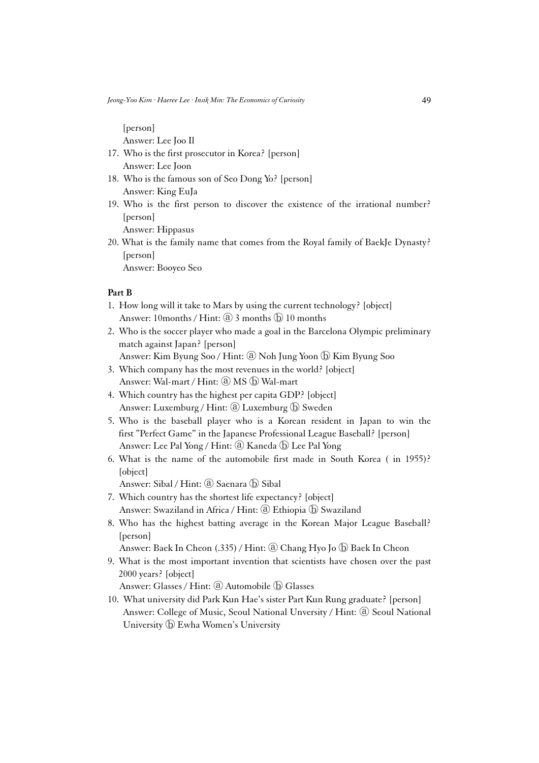[person]

Answer: Lee Joo Il

- 17. Who is the first prosecutor in Korea? [person] Answer: Lee Joon
- 18. Who is the famous son of Seo Dong Yo? [person] Answer: King EuJa
- 19. Who is the first person to discover the existence of the irrational number? [person]

Answer: Hippasus

20. What is the family name that comes from the Royal family of BaekJe Dynasty? [person]

Answer: Booyeo Seo

### **Part B**

- 1. How long will it take to Mars by using the current technology? [object] Answer: 10months / Hint: a 3 months  $\bigcirc$  10 months
- 2. Who is the soccer player who made a goal in the Barcelona Olympic preliminary match against Japan? [person]
	- Answer: Kim Byung Soo / Hint: ⓐ Noh Jung Yoon ⓑ Kim Byung Soo
- 3. Which company has the most revenues in the world? [object] Answer: Wal-mart / Hint: @ MS  $\circled{b}$  Wal-mart
- 4. Which country has the highest per capita GDP? [object] Answer: Luxemburg / Hint: ⓐ Luxemburg ⓑ Sweden
- 5. Who is the baseball player who is a Korean resident in Japan to win the first "Perfect Game" in the Japanese Professional League Baseball? [person] Answer: Lee Pal Yong / Hint: @ Kaneda (b) Lee Pal Yong
- 6. What is the name of the automobile first made in South Korea ( in 1955)? [object]

Answer: Sibal / Hint: @ Saenara (b) Sibal

- 7. Which country has the shortest life expectancy? [object] Answer: Swaziland in Africa / Hint: @ Ethiopia  $\textcircled{b}$  Swaziland
- 8. Who has the highest batting average in the Korean Major League Baseball? [person]

Answer: Baek In Cheon (.335) / Hint: @ Chang Hyo Jo  $\circledD$  Baek In Cheon

9. What is the most important invention that scientists have chosen over the past 2000 years? [object]

Answer: Glasses / Hint: ⓐ Automobile ⓑ Glasses

10. What university did Park Kun Hae's sister Part Kun Rung graduate? [person] Answer: College of Music, Seoul National Unversity / Hint: ⓐ Seoul National University ⓑ Ewha Women's University